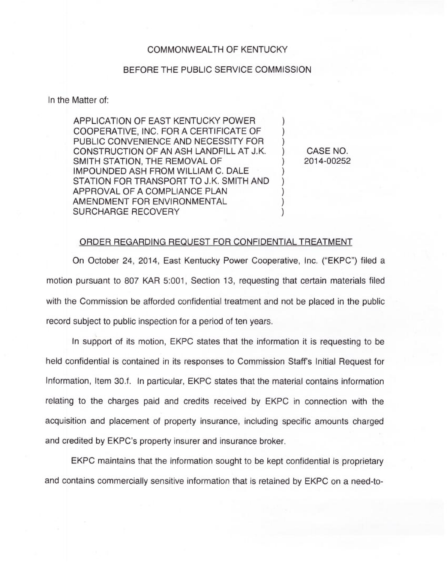## COMMONWEALTH OF KENTUCKY

## BEFORE THE PUBLIC SERVICE COMMISSION

In the Matter of:

APPLICATION OF EAST KENTUCKY POWER COOPERATIVE, INC. FOR A CERTIFICATE OF PUBLIC CONVENIENCE AND NECESSITY FOR CONSTRUCTION OF AN ASH LANDFILL AT J.K. SMITH STATION, THE REMOVAL OF IMPOUNDED ASH FROM WILLIAM C. DALE STATION FOR TRANSPORT TO J.K. SMITH AND APPROVAL OF A COMPLIANCE PLAN AMENDMENT FOR ENVIRONMENTAL SURCHARGE RECOVERY

) CASE NO. ) 2014-00252

) ) )

)  $\overline{\phantom{a}}$  $\overline{\phantom{a}}$ ) )

## ORDER REGARDING REQUEST FOR CONFIDENTIAL TREATMENT

On October 24, 2014, East Kentucky Power Cooperative, Inc. ("EKPC") filed a motion pursuant to 807 KAR 5:001, Section 13, requesting that certain materials filed with the Commission be afforded confidential treatment and not be placed in the public record subject to public inspection for a period of ten years.

In support of its motion, EKPC states that the information it is requesting to be held confidential is contained in its responses to Commission Staff's Initial Request for Information, Item 30.f. In particular, EKPC states that the material contains information relating to the charges paid and credits received by EKPC in connection with the acquisition and placement of property insurance, including specific amounts charged and credited by EKPC's property insurer and insurance broker.

EKPC maintains that the information sought to be kept confidential is proprietary and contains commercially sensitive information that is retained by EKPC on a need-to-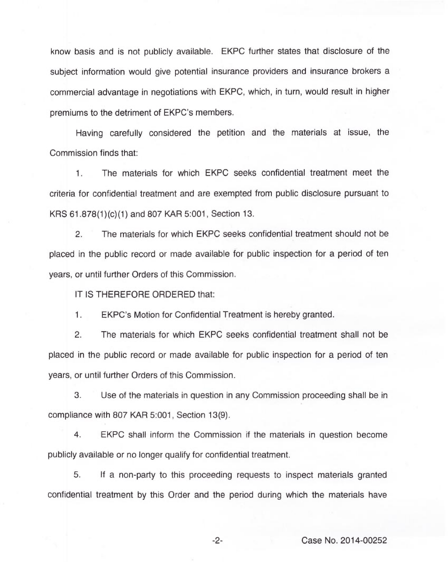know basis and is not publicly available. EKPC further states that disclosure of the subject information would give potential insurance providers and insurance brokers a commercial advantage in negotiations with EKPC, which, in turn, would result in higher premiums to the detriment of EKPC's members.

Having carefully considered the petition and the materials at issue, the Commission finds that:

 $1.$ The materials for which EKPC seeks confidential treatment meet the criteria for confidential treatment and are exempted from public disclosure pursuant to KRS 61.878(1)(c)(1)and 807 KAR 5:001, Section 13.

2. The materials for which EKPC seeks confidential treatment should not be placed in the public record or made available for public inspection for a period of ten years, or until further Orders of this Commission.

IT IS THEREFORE ORDERED that:

 $1.$ EKPC's Motion for Confidential Treatment is hereby granted.

2. The materials for which EKPC seeks confidential treatment shall not be placed in the public record or made available for public inspection for a period of ten years, or until further Orders of this Commission.

3. Use of the materials in question in any Commission proceeding shall be in compliance with 807 KAR 5:001, Section 13(9).

4. EKPC shall inform the Commission if the materials in question become publicly available or no longer qualify for confidential treatment.

5. If a non-party to this proceeding requests to inspect materials granted confidential treatment by this Order and the period during which the materials have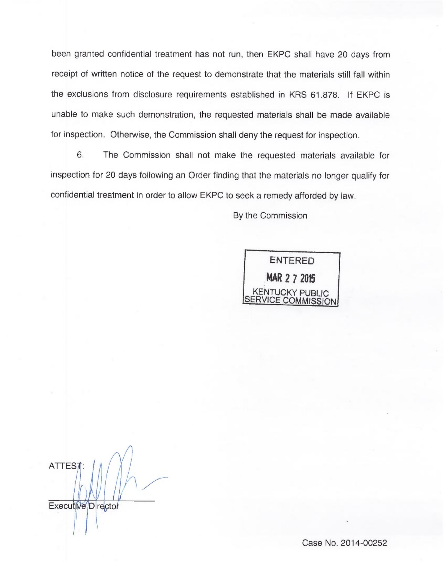been granted confidential treatment has not run, then EKPC shall have 20 days from receipt of written notice of the request to demonstrate that the materials still fall withi the exclusions from disclosure requirements established in KRS 61.878. If EKPC is unable to make such demonstration, the requested materials shall be made available for inspection. Otherwise, the Commission shall deny the request for inspection.

6. The Commission shall not make the requested materials available for inspection for 20 days following an Order finding that the materials no longer qualify for confidential treatment in order to allow EKPC to seek a remedy afforded by law

By the Commission

ENTERED MAR 2 7 2015 KENTUCKY PUBLIC ERVICE COMMISSION

**ATTEST** 

Executive Director